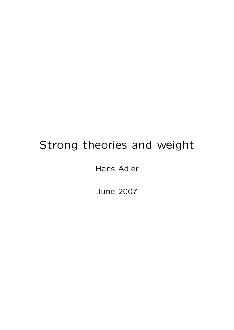# Strong theories and weight

Hans Adler

June 2007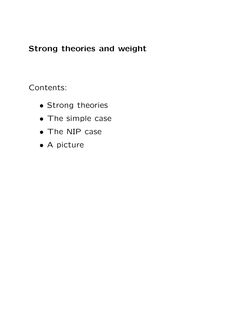# Strong theories and weight

Contents:

- Strong theories
- The simple case
- The NIP case
- A picture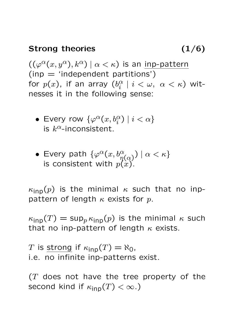## Strong theories (1/6)

 $((\varphi^{\alpha}(x, y^{\alpha}), k^{\alpha}) | \alpha < \kappa)$  is an inp-pattern  $(inp = 'independent partitions')$ for  $p(x)$ , if an array  $(b_i^{\alpha})$  $\frac{\alpha}{i} \mid i < \omega, \, \, \alpha < \kappa$ ) witnesses it in the following sense:

- Every row  $\{\varphi^{\alpha}(x,b^{\alpha}_i)\;|\;i<\alpha\}$ is  $k^{\alpha}$ -inconsistent.
- Every path  $\{\varphi^{\alpha}(x,b^{\alpha}_{\eta(\alpha)}) \mid \alpha < \kappa\}$ is consistent with  $p(x)$ .

 $\kappa_{\textsf{inp}}(p)$  is the minimal  $\kappa$  such that no inppattern of length  $\kappa$  exists for p.

 $\kappa_{\textsf{inp}}(T) = \sup_{p} \kappa_{\textsf{inp}}(p)$  is the minimal  $\kappa$  such that no inp-pattern of length  $\kappa$  exists.

T is strong if  $\kappa_{\text{inp}}(T) = \aleph_0$ , i.e. no infinite inp-patterns exist.

 $(T$  does not have the tree property of the second kind if  $\kappa_{\text{inp}}(T) < \infty$ .)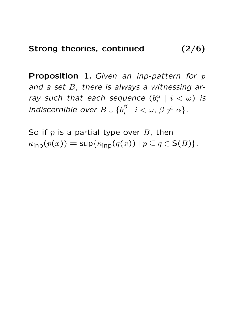**Proposition 1.** Given an inp-pattern for  $p$ and a set  $B$ , there is always a witnessing array such that each sequence  $(b_i^{\alpha})$  $\frac{\alpha}{i}$   $\mid$   $i$   $<$   $\omega$ ) is indiscernible over  $B\cup \{b_i^\beta\}$  $i^{\beta}$  |  $i < \omega, \beta \neq \alpha$  }.

So if  $p$  is a partial type over  $B$ , then  $\kappa_{\text{inp}}(p(x)) = \sup \{ \kappa_{\text{inp}}(q(x)) \mid p \subseteq q \in S(B) \}.$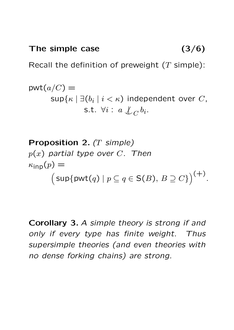# The simple case (3/6)

Recall the definition of preweight  $(T \text{ simple})$ :

$$
\text{pwt}(a/C) = \sup \{\kappa \mid \exists (b_i \mid i < \kappa) \text{ independent over } C, \\ \text{s.t. } \forall i : a \nsubseteq C b_i. \}
$$

**Proposition 2.** (*T simple*)  
\n
$$
p(x)
$$
 *partial type over C. Then*  
\n $\kappa_{inp}(p) =$   
\n
$$
sup{pvt(q) | p \subseteq q \in S(B), B \supseteq C}
$$
)<sup>(+)</sup>.

Corollary 3. A simple theory is strong if and only if every type has finite weight. Thus supersimple theories (and even theories with no dense forking chains) are strong.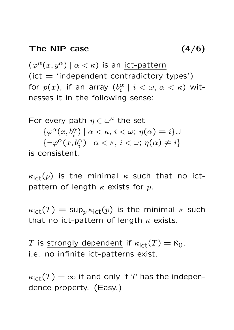#### The NIP case

$$
(4/6)
$$

 $\left(\varphi^{\alpha}(x,y^{\alpha})\mid\alpha<\kappa\right)$  is an ict-pattern  $(ict = 'independent contradictory types')$ for  $p(x)$ , if an array  $(b_i^{\alpha})$  $\frac{\alpha}{i} \mid i < \omega, \, \alpha < \kappa$ ) witnesses it in the following sense:

For every path  $\eta \in \omega^{\kappa}$  the set  $\{\varphi^{\alpha}(x,b_i^{\alpha}) \mid \alpha < \kappa, i < \omega; \eta(\alpha) = i\}$  $\{\neg \varphi^{\alpha}(x, b_i^{\alpha}) \mid \alpha < \kappa, i < \omega; \eta(\alpha) \neq i\}$ is consistent.

 $\kappa_{\rm ict}(p)$  is the minimal  $\kappa$  such that no ictpattern of length  $\kappa$  exists for p.

 $\kappa_{\text{ict}}(T) = \sup_p \kappa_{\text{ict}}(p)$  is the minimal  $\kappa$  such that no ict-pattern of length  $\kappa$  exists.

T is strongly dependent if  $\kappa_{\text{ict}}(T) = \aleph_0$ , i.e. no infinite ict-patterns exist.

 $\kappa_{\text{ict}}(T) = \infty$  if and only if T has the independence property. (Easy.)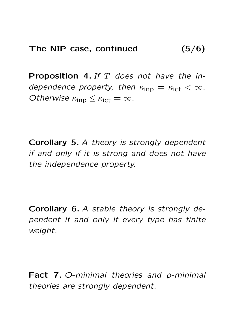**Proposition 4.** If  $T$  does not have the independence property, then  $\kappa_{\text{inp}} = \kappa_{\text{ict}} < \infty$ . Otherwise  $\kappa_{\text{inp}} \leq \kappa_{\text{ict}} = \infty$ .

Corollary 5. A theory is strongly dependent if and only if it is strong and does not have the independence property.

Corollary 6. A stable theory is strongly dependent if and only if every type has finite weight.

Fact 7. O-minimal theories and p-minimal theories are strongly dependent.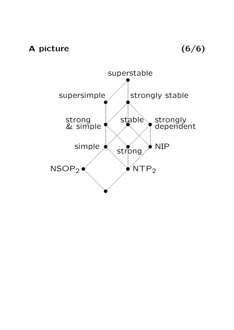